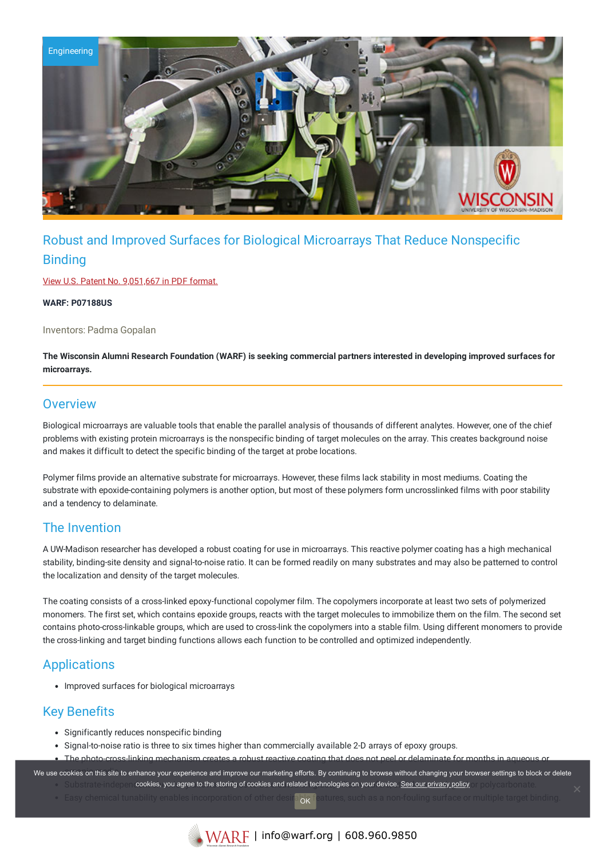

# Robust and Improved Surfaces for Biological Microarrays That Reduce Nonspecific **Binding**

View U.S. Patent No. [9,051,667](https://www.warf.org/wp-content/uploads/technologies/ipstatus/P07188US.pdf) in PDF format.

**WARF: P07188US**

Inventors: Padma Gopalan

The Wisconsin Alumni Research Foundation (WARF) is seeking commercial partners interested in developing improved surfaces for **microarrays.**

#### **Overview**

Biological microarrays are valuable tools that enable the parallel analysis of thousands of different analytes. However, one of the chief problems with existing protein microarrays is the nonspecific binding of target molecules on the array. This creates background noise and makes it difficult to detect the specific binding of the target at probe locations.

Polymer films provide an alternative substrate for microarrays. However, these films lack stability in most mediums. Coating the substrate with epoxide-containing polymers is another option, but most of these polymers form uncrosslinked films with poor stability and a tendency to delaminate.

### The Invention

A UW-Madison researcher has developed a robust coating for use in microarrays. This reactive polymer coating has a high mechanical stability, binding-site density and signal-to-noise ratio. It can be formed readily on many substrates and may also be patterned to control the localization and density of the target molecules.

The coating consists of a cross-linked epoxy-functional copolymer film. The copolymers incorporate at least two sets of polymerized monomers. The first set, which contains epoxide groups, reacts with the target molecules to immobilize them on the film. The second set contains photo-cross-linkable groups, which are used to cross-link the copolymers into a stable film. Using different monomers to provide the cross-linking and target binding functions allows each function to be controlled and optimized independently.

### **Applications**

• Improved surfaces for biological microarrays

## Key Benefits

- Significantly reduces nonspecific binding
- Signal-to-noise ratio is three to six times higher than commercially available 2-D arrays of epoxy groups.
- The photo-cross-linking mechanism creates a robust reactive coating that does not peel or delaminate for months in

We use cookies on this site to enhance your experience and improve our marketing efforts. By continuing to browse without changing your browser settings to block or delete Substrate independ**ookies, you agree to the storing of cookies and related technologies on your device. <u>See our privacy policy</u> and your homatic.** 

- Easy chemical tunability enables incorporation of other desirable features, such as a non-fouling surface or multiple target binding. OK
	-